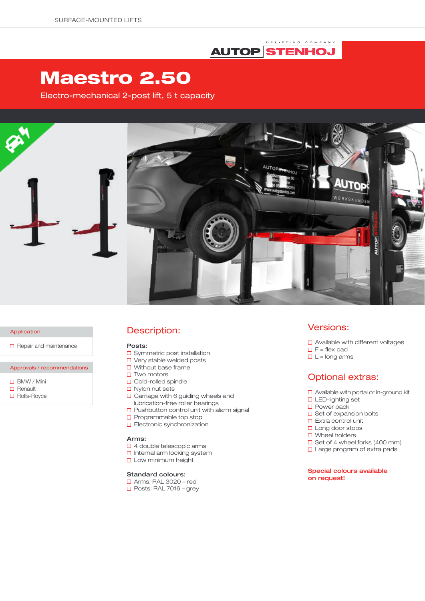## UPLIFTING COMPANY **AUTOP STENHOJ**

# Maestro 2.50

Electro-mechanical 2-post lift, 5 t capacity



#### Application

 $\Box$  Repair and maintenance

### Approvals / recommendations

- BMW / Mini
- $\Box$  Renault
- □ Rolls-Royce

### Description:

#### Posts:

- □ Symmetric post installation
- □ Very stable welded posts
- $\Box$  Without base frame
- $\square$  Two motors
- □ Cold-rolled spindle
- $\Box$  Nylon nut sets
- $\Box$  Carriage with 6 guiding wheels and lubrication-free roller bearings
- $\square$  Pushbutton control unit with alarm signal
- $\square$  Programmable top stop
- **D** Electronic synchronization

#### Arms:

- □ 4 double telescopic arms
- $\square$  Internal arm locking system
- **Low minimum height**

### Standard colours:

### Arms: RAL 3020 – red

 $\Box$  Posts: RAL 7016 – grev

### Versions:

- □ Available with different voltages
- $\Box$  F = flex pad
- $\Box$  L = long arms

### Optional extras:

- □ Available with portal or in-ground kit
- □ LED-lighting set
- □ Power pack
- $\square$  Set of expansion bolts
- $\Box$  Extra control unit
- □ Long door stops
- □ Wheel holders
- $\Box$  Set of 4 wheel forks (400 mm)
- □ Large program of extra pads

### Special colours available on request!